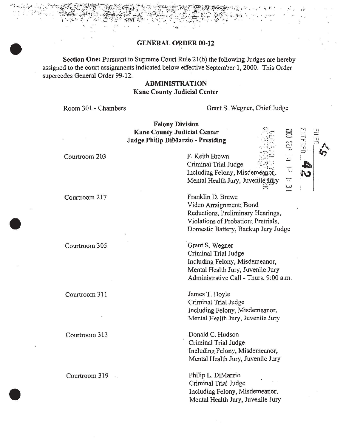#### GENERAL ORDER 00-12

. ..

Section One: Pursuant to Supreme Court Rule 21(b) the following Judges are hereby assigned to the court assignments indicated below effective September 1, 2000. This Order supercedes General Order 99-12.

## ADMINISTRATION Kane County Judicial Center

Room 301 - Chambers

Grant S. Wegner, Chief Judge

.

.... \_

.. w

 $\overline{E}$  $\overline{\mathbb{C}}$ 

Felony Division Kane County Judicial Center Judge Philip DiMarzio - Presiding

Courtroom 203

Courtroom 217

Courtroom 305

Courtroom 311

Courtroom 313

Courtroom 319 ...

F. Keith Brown . Criminal Trial Judge Including Felony, Misdemeanor, Mental Health Jury, Juvenile Jüry

Franklin D. Brewe Video Arraignment; Bond Reductions, Preliminary Hearings, Violations of Probation; Pretrials, Domestic Battery, Backup Jury Judge

Grant S. Wegner Criminal Trial Judge Including Felony, Misdemeanor, Mental Health Jury, Juvenile Jury Administrative Call - Thurs. 9:00 a.m.

James T. Doyle Criminal Trial Judge Including Felony, Misdemeanor, Mental Health Jury, Juvenile Jury

Donald C. Hudson Criminal Trial Judge Including Felony, Misdemeanor, Mental Health Jury, Juvenile Jury

Philip L. DiMarzio Criminal Trial Judge Including Felony, Misdemeanor, Mental Health Jury, Juvenile Jury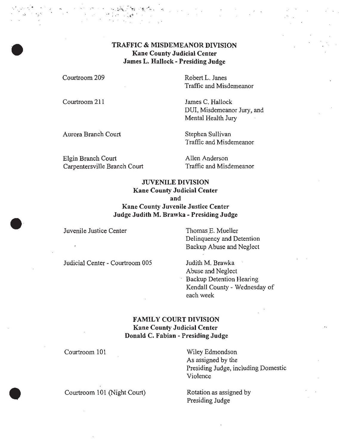## TRAFFIC & MISDEMEANOR DIVISION Kane County Judicial Center James L. Hallock - Presiding Judge

Courtroom 209

Courtroom 211

-

Robert L. Janes Traffic and Misdemeanor

James C. Hallock DUI, Misdemeanor Jury, and Mental Health Jury

Aurora Branch Court Stephen Sullivan

Traffic and Misdemeanor

Elgin Branch Court Carpentersville Branch Court Allen Anderson Traffic and Misdemeanor

### JUVENILE DIVISION Kane County Judicial Center

and

Kane County Juvenile Justice Center Judge Judith M. Brawka - Presiding Judge

Juvenile Justice Center Thomas E. Mueller

Delinquency and Detention Backup Abuse and Neglect

Judicial Center - Courtroom 005 Judith M. Brawka

Abuse and Neglect Backup Detention Hearing Kendall County - Wednesday of each week

# FAMILY COURT DIVISION Kane County Judicial Center Donald C. Fabian - Presiding Judge

Courtroom 101

Wiley Edmondson As assigned by the Presiding Judge, including Domestic Violence

Courtroom 101 (Night Court) Rotation as assigned by

Presiding Judge